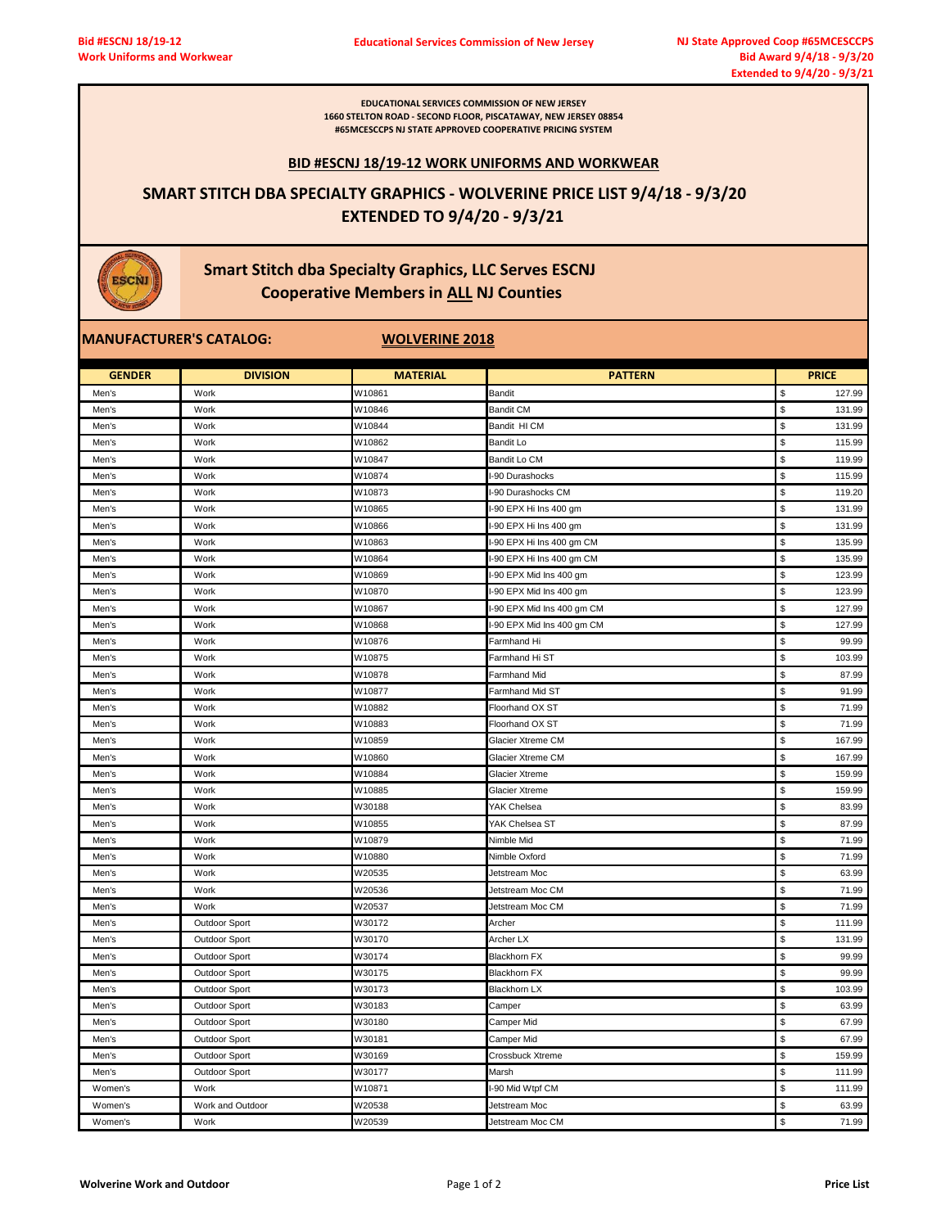**EDUCATIONAL SERVICES COMMISSION OF NEW JERSEY 1660 STELTON ROAD - SECOND FLOOR, PISCATAWAY, NEW JERSEY 08854 #65MCESCCPS NJ STATE APPROVED COOPERATIVE PRICING SYSTEM** 

#### **BID #ESCNJ 18/19-12 WORK UNIFORMS AND WORKWEAR**

# **SMART STITCH DBA SPECIALTY GRAPHICS - WOLVERINE PRICE LIST 9/4/18 - 9/3/20 EXTENDED TO 9/4/20 - 9/3/21**

# **Smart Stitch dba Specialty Graphics, LLC Serves ESCNJ Cooperative Members in ALL NJ Counties**

## **MANUFACTURER'S CATALOG:** WOLVERINE 2018

ESCNI

| <b>GENDER</b> | <b>DIVISION</b>  | <b>MATERIAL</b> | <b>PATTERN</b>             | <b>PRICE</b> |
|---------------|------------------|-----------------|----------------------------|--------------|
| Men's         | Work             | W10861          | Bandit                     | \$<br>127.99 |
| Men's         | Work             | W10846          | <b>Bandit CM</b>           | \$<br>131.99 |
| Men's         | Work             | W10844          | Bandit HI CM               | \$<br>131.99 |
| Men's         | Work             | W10862          | <b>Bandit Lo</b>           | \$<br>115.99 |
| Men's         | Work             | W10847          | Bandit Lo CM               | S<br>119.99  |
| Men's         | Work             | W10874          | -90 Durashocks             | \$<br>115.99 |
| Men's         | Work             | W10873          | I-90 Durashocks CM         | \$<br>119.20 |
| Men's         | Work             | W10865          | -90 EPX Hi Ins 400 gm      | \$<br>131.99 |
| Men's         | Work             | W10866          | I-90 EPX Hi Ins 400 gm     | \$<br>131.99 |
| Men's         | Work             | W10863          | I-90 EPX Hi Ins 400 gm CM  | \$<br>135.99 |
| Men's         | Work             | W10864          | -90 EPX Hi Ins 400 gm CM   | \$<br>135.99 |
| Men's         | Work             | W10869          | I-90 EPX Mid Ins 400 gm    | \$<br>123.99 |
| Men's         | Work             | W10870          | I-90 EPX Mid Ins 400 gm    | \$<br>123.99 |
| Men's         | Work             | W10867          | I-90 EPX Mid Ins 400 gm CM | \$<br>127.99 |
| Men's         | Work             | W10868          | I-90 EPX Mid Ins 400 gm CM | \$<br>127.99 |
| Men's         | Work             | W10876          | Farmhand Hi                | \$<br>99.99  |
| Men's         | Work             | W10875          | Farmhand Hi ST             | \$<br>103.99 |
| Men's         | Work             | W10878          | <b>Farmhand Mid</b>        | \$<br>87.99  |
| Men's         | Work             | W10877          | Farmhand Mid ST            | \$<br>91.99  |
| Men's         | Work             | W10882          | Floorhand OX ST            | \$<br>71.99  |
| Men's         | Work             | W10883          | Floorhand OX ST            | \$<br>71.99  |
| Men's         | Work             | W10859          | <b>Glacier Xtreme CM</b>   | \$<br>167.99 |
| Men's         | Work             | W10860          | Glacier Xtreme CM          | \$<br>167.99 |
| Men's         | Work             | W10884          | <b>Glacier Xtreme</b>      | \$<br>159.99 |
| Men's         | Work             | W10885          | <b>Glacier Xtreme</b>      | \$<br>159.99 |
| Men's         | Work             | W30188          | YAK Chelsea                | \$<br>83.99  |
| Men's         | Work             | W10855          | YAK Chelsea ST             | \$<br>87.99  |
| Men's         | Work             | W10879          | Nimble Mid                 | \$<br>71.99  |
| Men's         | Work             | W10880          | Nimble Oxford              | \$<br>71.99  |
| Men's         | Work             | W20535          | Jetstream Moc              | \$<br>63.99  |
| Men's         | Work             | W20536          | Jetstream Moc CM           | \$<br>71.99  |
| Men's         | Work             | W20537          | Jetstream Moc CM           | \$<br>71.99  |
| Men's         | Outdoor Sport    | W30172          | Archer                     | \$<br>111.99 |
| Men's         | Outdoor Sport    | W30170          | Archer LX                  | \$<br>131.99 |
| Men's         | Outdoor Sport    | W30174          | <b>Blackhorn FX</b>        | \$<br>99.99  |
| Men's         | Outdoor Sport    | W30175          | <b>Blackhorn FX</b>        | \$<br>99.99  |
| Men's         | Outdoor Sport    | W30173          | <b>Blackhorn LX</b>        | \$<br>103.99 |
| Men's         | Outdoor Sport    | W30183          | Camper                     | \$<br>63.99  |
| Men's         | Outdoor Sport    | W30180          | Camper Mid                 | \$<br>67.99  |
| Men's         | Outdoor Sport    | W30181          | Camper Mid                 | \$<br>67.99  |
| Men's         | Outdoor Sport    | W30169          | Crossbuck Xtreme           | \$<br>159.99 |
| Men's         | Outdoor Sport    | W30177          | Marsh                      | \$<br>111.99 |
| Women's       | Work             | W10871          | I-90 Mid Wtpf CM           | \$<br>111.99 |
| Women's       | Work and Outdoor | W20538          | Jetstream Moc              | \$<br>63.99  |
| Women's       | Work             | W20539          | Jetstream Moc CM           | \$<br>71.99  |